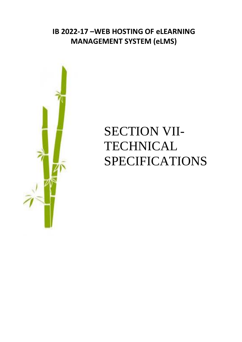## **IB 2022-17 –WEB HOSTING OF eLEARNING MANAGEMENT SYSTEM (eLMS)**



## SECTION VII-**TECHNICAL** SPECIFICATIONS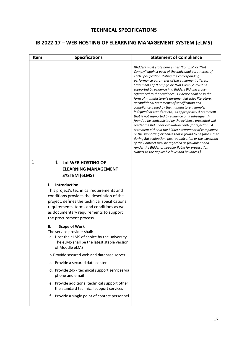## **TECHNICAL SPECIFICATIONS**

## **IB 2022-17 – WEB HOSTING OF ELEARNING MANAGEMENT SYSTEM (eLMS)**

| Item         | <b>Specifications</b>                                                                                                                                                                                                                                                                                                                                                                                                                                                            | <b>Statement of Compliance</b>                                                                                                                                                                                                                                                                                                                                                                                                                                                                                                                                                                                                                                                                                                                                                                                                                                                                                                                                                                                                                                                                                                          |
|--------------|----------------------------------------------------------------------------------------------------------------------------------------------------------------------------------------------------------------------------------------------------------------------------------------------------------------------------------------------------------------------------------------------------------------------------------------------------------------------------------|-----------------------------------------------------------------------------------------------------------------------------------------------------------------------------------------------------------------------------------------------------------------------------------------------------------------------------------------------------------------------------------------------------------------------------------------------------------------------------------------------------------------------------------------------------------------------------------------------------------------------------------------------------------------------------------------------------------------------------------------------------------------------------------------------------------------------------------------------------------------------------------------------------------------------------------------------------------------------------------------------------------------------------------------------------------------------------------------------------------------------------------------|
|              |                                                                                                                                                                                                                                                                                                                                                                                                                                                                                  | [Bidders must state here either "Comply" or "Not<br>Comply" against each of the individual parameters of<br>each Specification stating the corresponding<br>performance parameter of the equipment offered.<br>Statements of "Comply" or "Not Comply" must be<br>supported by evidence in a Bidders Bid and cross-<br>referenced to that evidence. Evidence shall be in the<br>form of manufacturer's un-amended sales literature,<br>unconditional statements of specification and<br>compliance issued by the manufacturer, samples,<br>independent test data etc., as appropriate. A statement<br>that is not supported by evidence or is subsequently<br>found to be contradicted by the evidence presented will<br>render the Bid under evaluation liable for rejection. A<br>statement either in the Bidder's statement of compliance<br>or the supporting evidence that is found to be false either<br>during Bid evaluation, post-qualification or the execution<br>of the Contract may be regarded as fraudulent and<br>render the Bidder or supplier liable for prosecution<br>subject to the applicable laws and issuances.] |
| $\mathbf{1}$ | $\mathbf{1}$<br>Lot WEB HOSTING OF<br><b>ELEARNING MANAGEMENT</b><br><b>SYSTEM (eLMS)</b><br>Introduction<br>ı.<br>This project's technical requirements and<br>conditions provides the description of the<br>project, defines the technical specifications,<br>requirements, terms and conditions as well<br>as documentary requirements to support<br>the procurement process.                                                                                                 |                                                                                                                                                                                                                                                                                                                                                                                                                                                                                                                                                                                                                                                                                                                                                                                                                                                                                                                                                                                                                                                                                                                                         |
|              | <b>Scope of Work</b><br>Н.<br>The service provider shall:<br>a. Host the eLMS of choice by the university.<br>The eLMS shall be the latest stable version<br>of Moodle eLMS<br>b. Provide secured web and database server<br>c. Provide a secured data center<br>d. Provide 24x7 technical support services via<br>phone and email<br>e. Provide additional technical support other<br>the standard technical support services<br>f. Provide a single point of contact personnel |                                                                                                                                                                                                                                                                                                                                                                                                                                                                                                                                                                                                                                                                                                                                                                                                                                                                                                                                                                                                                                                                                                                                         |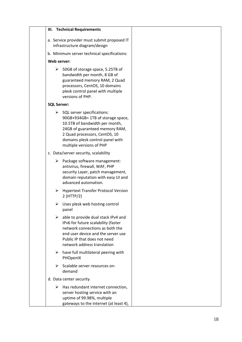| III. Technical Requirements                                                                                                                                                                                                                           |  |
|-------------------------------------------------------------------------------------------------------------------------------------------------------------------------------------------------------------------------------------------------------|--|
| a. Service provider must submit proposed IT<br>infrastructure diagram/design                                                                                                                                                                          |  |
| b. Minimum server technical specifications:                                                                                                                                                                                                           |  |
| Web server:                                                                                                                                                                                                                                           |  |
| $\triangleright$ 50GB of storage space, 5.25TB of<br>bandwidth per month, 8 GB of<br>guaranteed memory RAM, 2 Quad<br>processors, CentOS, 10 domains<br>plesk control panel with multiple<br>versions of PHP.                                         |  |
| <b>SQL Server:</b>                                                                                                                                                                                                                                    |  |
| $\triangleright$ SQL server specifications:<br>90GB+934GB= 1TB of storage space,<br>10.5TB of bandwidth per month,<br>24GB of guaranteed memory RAM,<br>2 Quad processors, CentOS, 10<br>domains plesk control panel with<br>multiple versions of PHP |  |
| c. Data/server security, scalability                                                                                                                                                                                                                  |  |
| $\triangleright$ Package software management:<br>antivirus, firewall, WAF, PHP<br>security Layer, patch management,<br>domain reputation with easy UI and<br>advanced automation.                                                                     |  |
| <b>Hypertext Transfer Protocol Version</b><br>➤<br>$2$ (HTTP/2)                                                                                                                                                                                       |  |
| Uses plesk web hosting control<br>➤<br>panel                                                                                                                                                                                                          |  |
| able to provide dual stack IPv4 and<br>➤<br>IPv6 for future scalability (faster<br>network connections as both the<br>end user device and the server use<br>Public IP that does not need<br>network address translation                               |  |
| have full multilateral peering with<br>➤<br>PHOpenIX                                                                                                                                                                                                  |  |
| Scalable server resources on-<br>➤<br>demand                                                                                                                                                                                                          |  |
| d. Data center security                                                                                                                                                                                                                               |  |
| $\triangleright$ Has redundant internet connection,<br>server hosting service with an<br>uptime of 99.98%, multiple<br>gateways to the internet (at least 4),                                                                                         |  |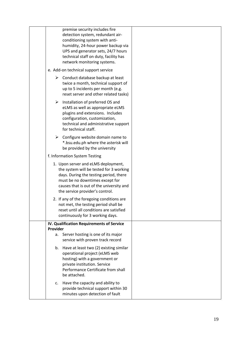|          | premise security includes fire<br>detection system, redundant air-<br>conditioning system with anti-<br>humidity, 24-hour power backup via<br>UPS and generator sets, 24/7 hours<br>technical staff on duty, facility has<br>network monitoring systems. |  |
|----------|----------------------------------------------------------------------------------------------------------------------------------------------------------------------------------------------------------------------------------------------------------|--|
|          | e. Add-on technical support service                                                                                                                                                                                                                      |  |
|          | Conduct database backup at least<br>➤<br>twice a month, technical support of<br>up to 5 incidents per month (e.g.<br>reset server and other related tasks)                                                                                               |  |
|          | ➤<br>Installation of preferred OS and<br>eLMS as well as appropriate eLMS<br>plugins and extensions. Includes<br>configuration, customization,<br>technical and administrative support<br>for technical staff.                                           |  |
|          | $\triangleright$ Configure website domain name to<br>*.bsu.edu.ph where the asterisk will<br>be provided by the university                                                                                                                               |  |
|          | f. Information System Testing                                                                                                                                                                                                                            |  |
|          | 1. Upon server and eLMS deployment,<br>the system will be tested for 3 working<br>days. During the testing period, there<br>must be no downtimes except for<br>causes that is out of the university and<br>the service provider's control.               |  |
|          | 2. If any of the foregoing conditions are<br>not met, the testing period shall be<br>reset until all conditions are satisfied<br>continuously for 3 working days.                                                                                        |  |
|          | IV. Qualification Requirements of Service                                                                                                                                                                                                                |  |
| Provider | Server hosting is one of its major<br>а.<br>service with proven track record                                                                                                                                                                             |  |
|          | b. Have at least two (2) existing similar<br>operational project (eLMS web<br>hosting) with a government or<br>private institution. Service<br>Performance Certificate from shall<br>be attached.                                                        |  |
|          | Have the capacity and ability to<br>c.<br>provide technical support within 30<br>minutes upon detection of fault                                                                                                                                         |  |